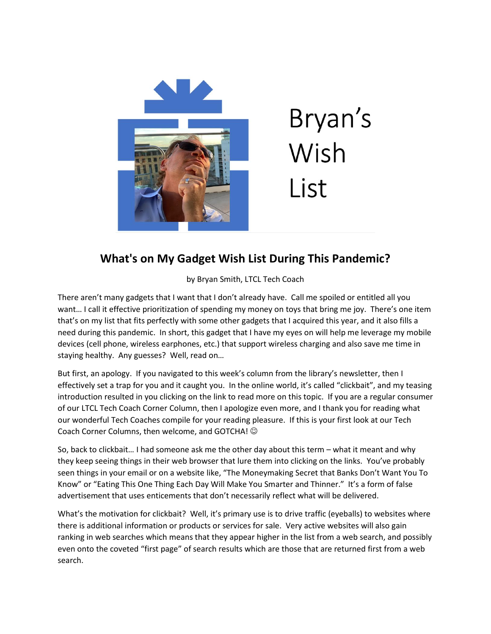

## Bryan's Wish List

## **What's on My Gadget Wish List During This Pandemic?**

by Bryan Smith, LTCL Tech Coach

There aren't many gadgets that I want that I don't already have. Call me spoiled or entitled all you want… I call it effective prioritization of spending my money on toys that bring me joy. There's one item that's on my list that fits perfectly with some other gadgets that I acquired this year, and it also fills a need during this pandemic. In short, this gadget that I have my eyes on will help me leverage my mobile devices (cell phone, wireless earphones, etc.) that support wireless charging and also save me time in staying healthy. Any guesses? Well, read on…

But first, an apology. If you navigated to this week's column from the library's newsletter, then I effectively set a trap for you and it caught you. In the online world, it's called "clickbait", and my teasing introduction resulted in you clicking on the link to read more on this topic. If you are a regular consumer of our LTCL Tech Coach Corner Column, then I apologize even more, and I thank you for reading what our wonderful Tech Coaches compile for your reading pleasure. If this is your first look at our Tech Coach Corner Columns, then welcome, and GOTCHA!

So, back to clickbait… I had someone ask me the other day about this term – what it meant and why they keep seeing things in their web browser that lure them into clicking on the links. You've probably seen things in your email or on a website like, "The Moneymaking Secret that Banks Don't Want You To Know" or "Eating This One Thing Each Day Will Make You Smarter and Thinner." It's a form of false advertisement that uses enticements that don't necessarily reflect what will be delivered.

What's the motivation for clickbait? Well, it's primary use is to drive traffic (eyeballs) to websites where there is additional information or products or services for sale. Very active websites will also gain ranking in web searches which means that they appear higher in the list from a web search, and possibly even onto the coveted "first page" of search results which are those that are returned first from a web search.